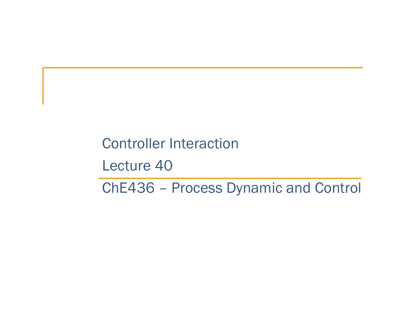Controller Interaction

Lecture 40

ChE436 – Process Dynamic and Control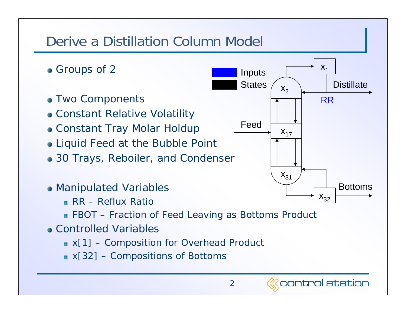#### Derive a Distillation Column Model **Groups of 2**  $X_1$  Inputs **States Distillate**  $X_2$ **• Two Components** RRConstant Relative Volatility FeedConstant Tray Molar Holdup  $X_{17}$ • Liquid Feed at the Bubble Point • 30 Trays, Reboiler, and Condenser  $X_{31}$ BottomsManipulated Variables  $\mathsf{X}_{32}$ **RR** – Reflux Ratio **FBOT** – Fraction of Feed Leaving as Bottoms Product Controlled Variables■ x[1] – Composition for Overhead Product  $x[32]$  – Compositions of Bottoms control station 2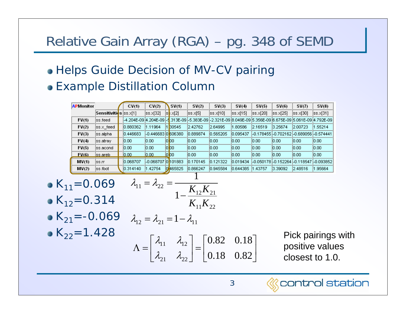# Relative Gain Array (RGA) – pg. 348 of SEMD

#### • Helps Guide Decision of MV-CV pairing Example Distillation Column

| <b>APMonitor</b> |                       | CV(1)    | CV(2)                | SV(1)             | SV(2)                                                                                                               | SV(3)      | SV(4)        | SV(5)     | SV(6)     | SV(7)     | SV(8)                                   |
|------------------|-----------------------|----------|----------------------|-------------------|---------------------------------------------------------------------------------------------------------------------|------------|--------------|-----------|-----------|-----------|-----------------------------------------|
|                  | Sensitivities ss.x[1] |          | ss.x[32]             | $ s$ $\times$ [2] | ss.x[5]                                                                                                             | lss.x[10]. | $ ss.x $ 15] | lss.x[20] | lss.x[25] | lss.x[30] | ss.x[31]                                |
| FV(1)            | lss.feed.             |          |                      |                   | l-4.204E-09 l4.204E-09 l-5.313E-09 l-5.383E-09 l-2.321E-09 l8.049E-09 l5.356E-09 l6.675E-09 l5.061E-09 l4.792E-09 l |            |              |           |           |           |                                         |
| FV(2)            | lss.x feed            | 0.880362 | 1.11964              | 1 30545           | 2.42762                                                                                                             | 2.64995    | 1.80586      | 2.16519   | 3.25674   | 2.00723   | .55214                                  |
| FV(3)            | lss.alphal            | 0.446683 | -0.446683101606380   |                   | 0.889874                                                                                                            | 10.565205  | 0.095437     |           |           |           | -0.178455 -0.702162 -0.689056 -0.574441 |
| FV(4)            | lss…atra∨             | 0.00     | 0.00                 | 000               | 0.00                                                                                                                | 0.00       | 0.00         | 0.00      | 0.00      | 0.00      | 0.00                                    |
| FV(5)            | lss.acond             | 0.00     | 0.00                 | loloo             | 0.00                                                                                                                | 0.00       | 0.00         | 0.00      | 0.00      | 0.00      | 0.00                                    |
| FV(6)            | lss.areb.             | 0.00     | 0.00                 | loloo.            | 0.00                                                                                                                | 0.00       | 0.00         | 0.00      | 0.00      | 0.00      | 0.00                                    |
| MV(1)            | lss.rr                | 0.068707 | I-0.068707 IO 101883 |                   | 0.170145                                                                                                            | 0.121322   | 0.019434     |           |           |           | -0.050178 -0.152264 -0.118547 -0.093852 |
| MV(2)            | ss.fbot               | 0.314140 | 1.42754              | 465825            | 10.866247                                                                                                           | 0.945584   | 0.644385     | 1.43757   | 3.39092   | 2.48516   | .95664                                  |

• 
$$
K_{11} = 0.069
$$
  $\lambda_{11} = \lambda_{22} = \frac{1}{1 - \frac{K_{12}K_{21}}{K_{11}K_{22}}}$   
\n•  $K_{12} = 0.314$   
\n•  $K_{21} = -0.069$   $\lambda_{12} = \lambda_{21} = 1 - \lambda_{11}$   
\n•  $K_{22} = 1.428$   
\n $\Lambda = \begin{bmatrix} \lambda_{11} & \lambda_{12} \\ \lambda_{21} & \lambda_{22} \end{bmatrix} = \begin{bmatrix} 0.82 & 0.18 \\ 0.18 & 0.82 \end{bmatrix}$   
\nPick pairings with positive values  
\ncloses to 1.0.

*<u>Control</u>* station

3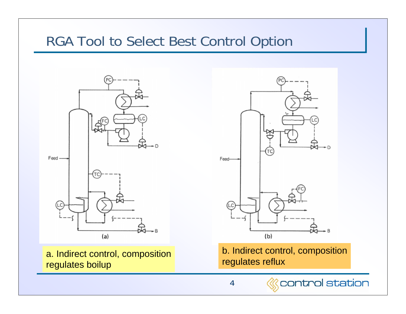### RGA Tool to Select Best Control Option



a. Indirect control, composition regulates boilup



b. Indirect control, composition regulates reflux



*<u>Scontrol</u>* station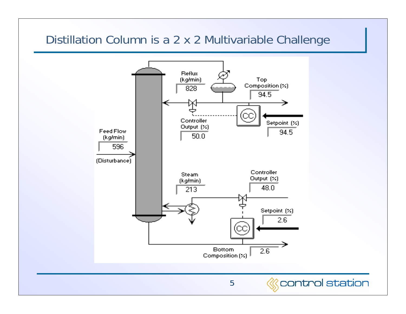#### Distillation Column is a 2 x 2 Multivariable Challenge





*<u>Separtrol</u>* station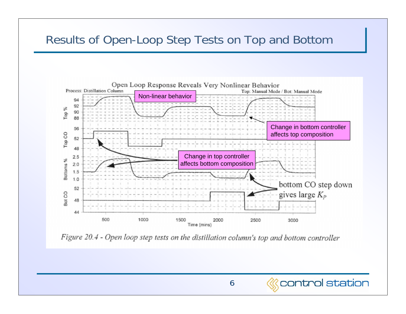#### Results of Open-Loop Step Tests on Top and Bottom



Figure 20.4 - Open loop step tests on the distillation column's top and bottom controller



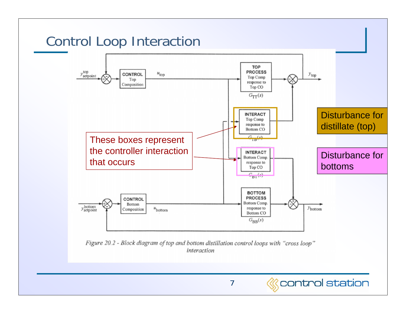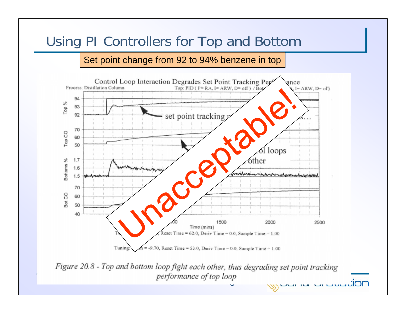# Using PI Controllers for Top and Bottom

#### Set point change from 92 to 94% benzene in top



Figure 20.8 - Top and bottom loop fight each other, thus degrading set point tracking performance of top loop Ĵ.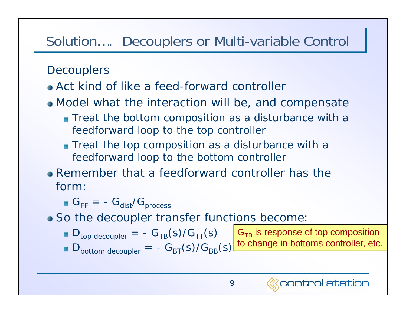# Solution…. Decouplers or Multi-variable Control

#### **Decouplers**

- Act kind of like a feed-forward controller
- Model what the interaction will be, and compensate
	- **Treat the bottom composition as a disturbance with a** feedforward loop to the top controller
	- **Treat the top composition as a disturbance with a** feedforward loop to the bottom controller
- Remember that a feedforward controller has the form:

 $\rm G^{}_{FF}$  = -  $\rm G^{}_{dist}/G^{}_{process}$ 

- So the decoupler transfer functions become:
	- $\blacksquare$  D<sub>top decoupler</sub> =  $-G_{TB}(s)/G_{TT}(s)$ Dbottom decoupler =  $-G_{BT}(s)/G_{BR}(s)$  $\mathsf{G}_{\mathsf{TB}}$  is response of top composition to change in bottoms controller, etc.

control station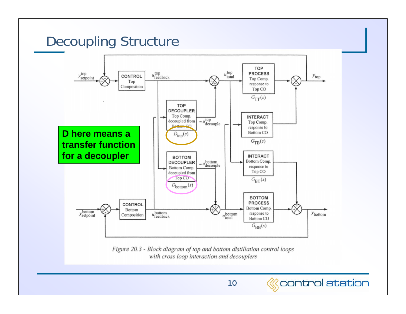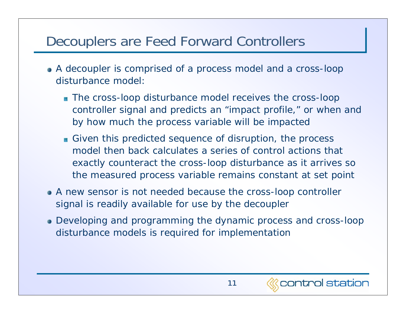# Decouplers are Feed Forward Controllers

- A decoupler is comprised of a process model and a cross-loop disturbance model:
	- **The cross-loop disturbance model receives the cross-loop** controller signal and predicts an "impact profile," or when and by how much the process variable will be impacted
	- Given this predicted sequence of disruption, the *process* model then back calculates a series of control actions that exactly counteract the cross-loop disturbance as it arrives so the measured process variable remains constant at set point
- A new sensor is not needed because the cross-loop controller signal is readily available for use by the decoupler
- Developing and programming the dynamic process and cross-loop disturbance models is required for implementation

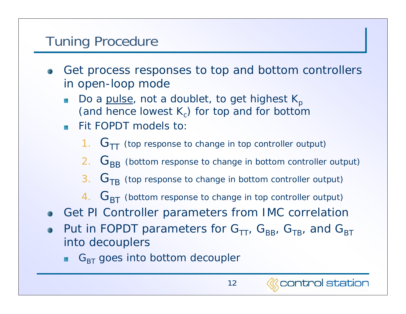# Tuning Procedure

- Get process responses to top and bottom controllers in open-loop mode
	- Do a pulse, not a doublet, to get highest  $K_p$ 该 (and hence lowest  $K_c$ ) for top and for bottom
	- Fit FOPDT models to:徽
		- 1.  $\rm\,G_{TT}$  (top response to change in top controller output)
		- $2. \;\;{\textsf{G}}_{\textsf{BB}}$  (bottom response to change in bottom controller output)
		- $3. \;\;{\textbf{G}}_\text{TB}$  (top response to change in bottom controller output)
		- $4. \;\;{\textbf{G}}_{\text{BT}}$  (bottom response to change in top controller output)
- Get PI Controller parameters from IMC correlation
- Put in FOPDT parameters for  $G_{TT}$ ,  $G_{BB}$ ,  $G_{TB}$ , and  $G_{BT}$ into decouplers
	- $\mathsf{G}_{\mathsf{BT}}$  goes into bottom decoupler

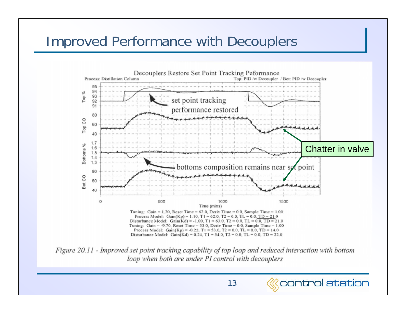## Improved Performance with Decouplers



Figure 20.11 - Improved set point tracking capability of top loop and reduced interaction with bottom loop when both are under PI control with decouplers

13

*<u>Control</u>* station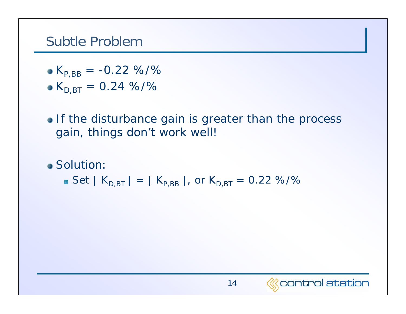### Subtle Problem

- $K_{P,BB} = -0.22 \%$
- $K_{D,BT} = 0.24 \%$
- If the disturbance gain is greater than the process gain, things don't work well!
- Solution:
	- $\bullet$  Set | K<sub>D,BT</sub> | = | K<sub>P,BB</sub> |, or K<sub>D,BT</sub> = 0.22 %/%

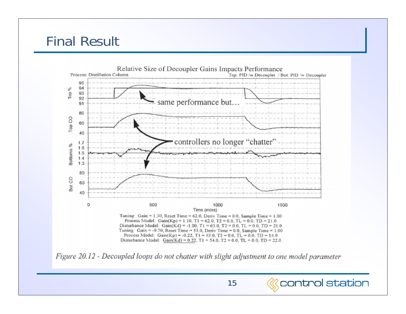## Final Result





15

*<u>Separtrol</u>* station